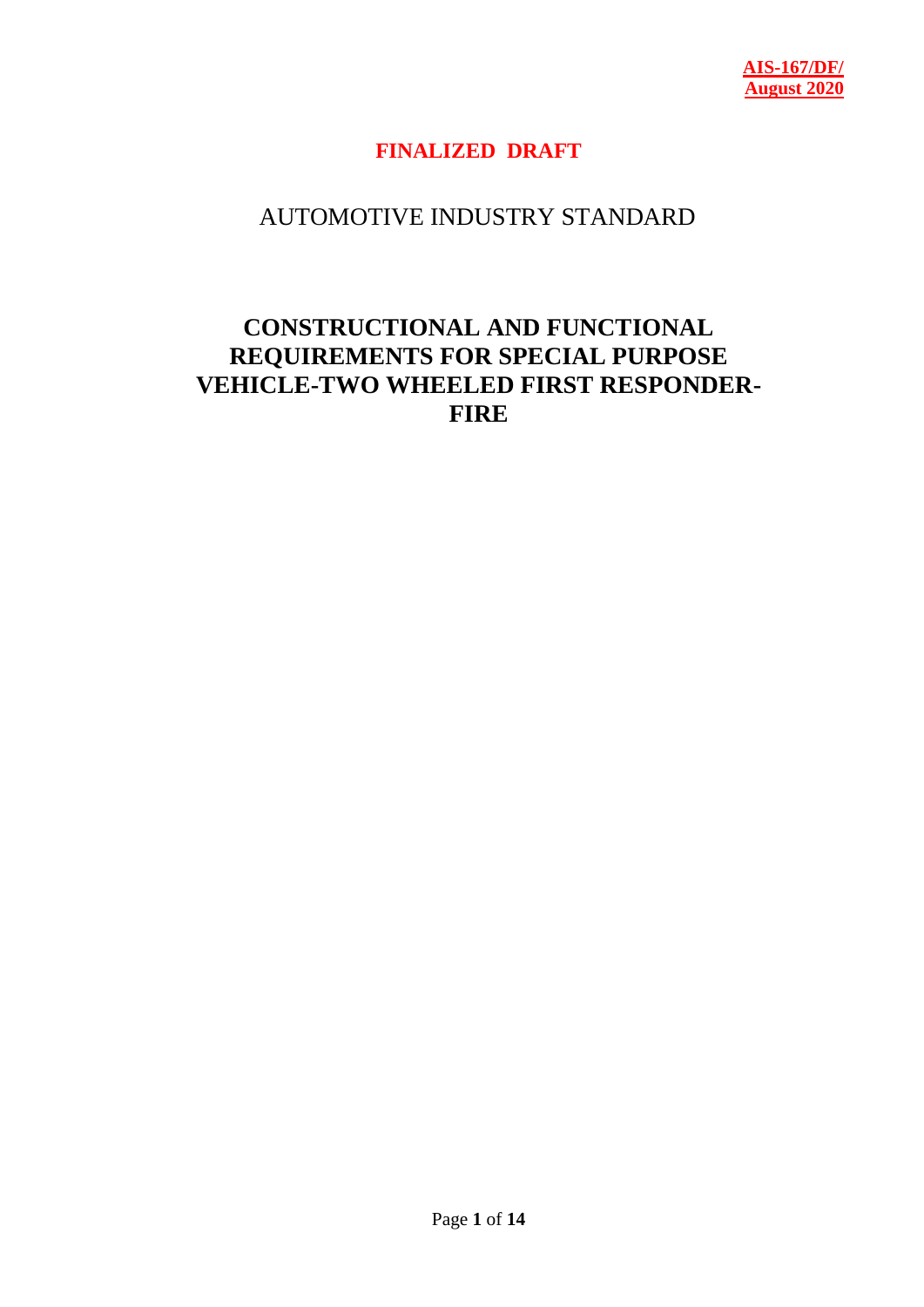## **FINALIZED DRAFT**

# AUTOMOTIVE INDUSTRY STANDARD

# **CONSTRUCTIONAL AND FUNCTIONAL REQUIREMENTS FOR SPECIAL PURPOSE VEHICLE-TWO WHEELED FIRST RESPONDER-FIRE**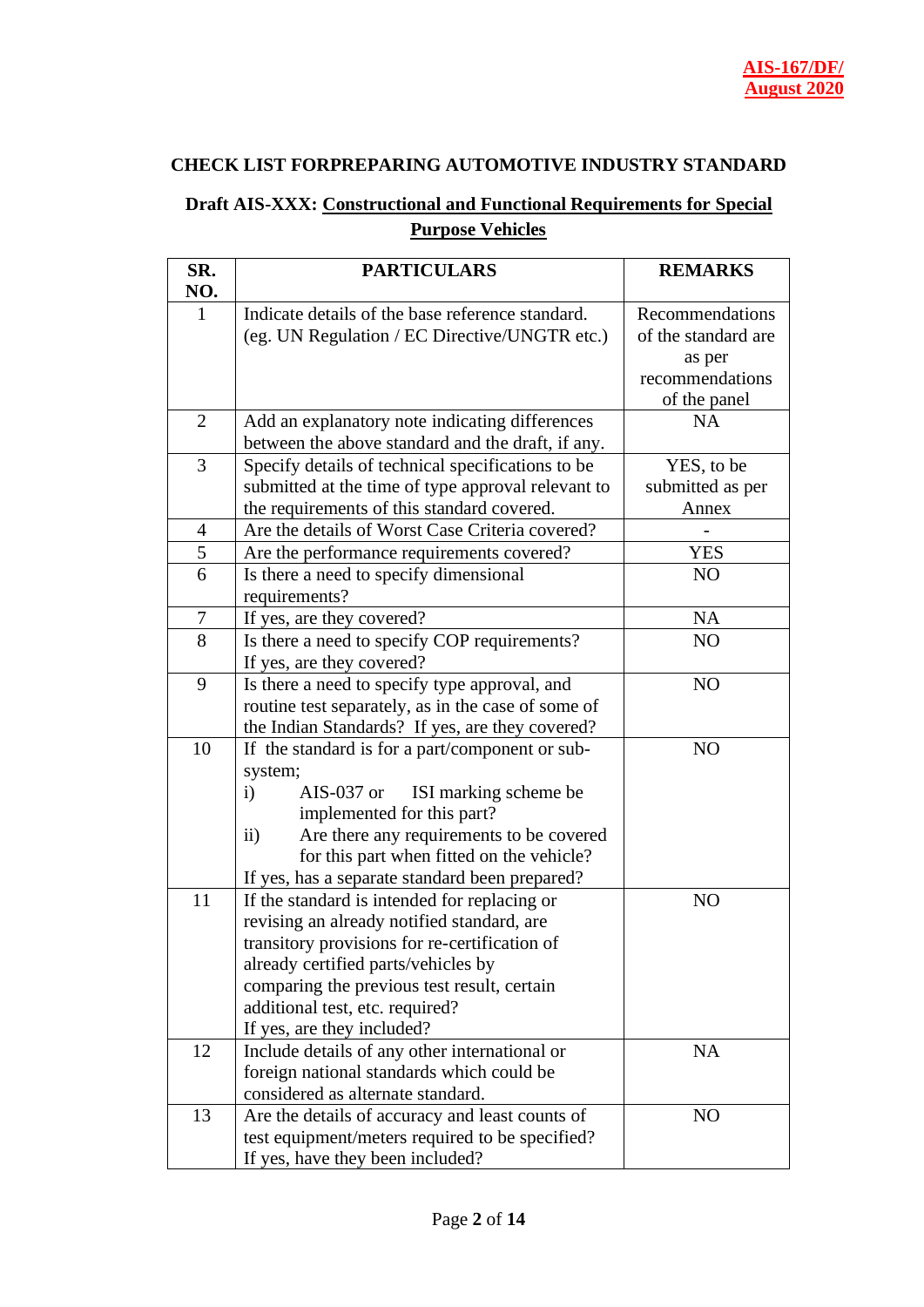#### **CHECK LIST FORPREPARING AUTOMOTIVE INDUSTRY STANDARD**

### **Draft AIS-XXX: Constructional and Functional Requirements for Special Purpose Vehicles**

| SR.              | <b>PARTICULARS</b>                                                             | <b>REMARKS</b>      |
|------------------|--------------------------------------------------------------------------------|---------------------|
| NO.              |                                                                                |                     |
| $\mathbf{1}$     | Indicate details of the base reference standard.                               | Recommendations     |
|                  | (eg. UN Regulation / EC Directive/UNGTR etc.)                                  | of the standard are |
|                  |                                                                                | as per              |
|                  |                                                                                | recommendations     |
|                  |                                                                                | of the panel        |
| $\overline{2}$   | Add an explanatory note indicating differences                                 | <b>NA</b>           |
|                  | between the above standard and the draft, if any.                              |                     |
| 3                | Specify details of technical specifications to be                              | YES, to be          |
|                  | submitted at the time of type approval relevant to                             | submitted as per    |
|                  | the requirements of this standard covered.                                     | Annex               |
| $\overline{4}$   | Are the details of Worst Case Criteria covered?                                |                     |
| 5                | Are the performance requirements covered?                                      | YES                 |
| 6                | Is there a need to specify dimensional                                         | NO                  |
|                  | requirements?                                                                  |                     |
| $\boldsymbol{7}$ | If yes, are they covered?                                                      | <b>NA</b>           |
| 8                | Is there a need to specify COP requirements?                                   | NO                  |
|                  | If yes, are they covered?                                                      |                     |
| 9                | Is there a need to specify type approval, and                                  | N <sub>O</sub>      |
|                  | routine test separately, as in the case of some of                             |                     |
|                  | the Indian Standards? If yes, are they covered?                                |                     |
| 10               | If the standard is for a part/component or sub-                                | NO                  |
|                  | system;                                                                        |                     |
|                  | $\mathbf{i}$<br>ISI marking scheme be<br>$AIS-037$ or                          |                     |
|                  | implemented for this part?                                                     |                     |
|                  | Are there any requirements to be covered<br>$\ddot{\mathbf{i}}$                |                     |
|                  | for this part when fitted on the vehicle?                                      |                     |
|                  | If yes, has a separate standard been prepared?                                 |                     |
| 11               | If the standard is intended for replacing or                                   | N <sub>O</sub>      |
|                  | revising an already notified standard, are                                     |                     |
|                  | transitory provisions for re-certification of                                  |                     |
|                  | already certified parts/vehicles by                                            |                     |
|                  | comparing the previous test result, certain                                    |                     |
|                  | additional test, etc. required?                                                |                     |
| 12               | If yes, are they included?                                                     |                     |
|                  | Include details of any other international or                                  | <b>NA</b>           |
|                  | foreign national standards which could be<br>considered as alternate standard. |                     |
|                  |                                                                                |                     |
| 13               | Are the details of accuracy and least counts of                                | NO                  |
|                  | test equipment/meters required to be specified?                                |                     |
|                  | If yes, have they been included?                                               |                     |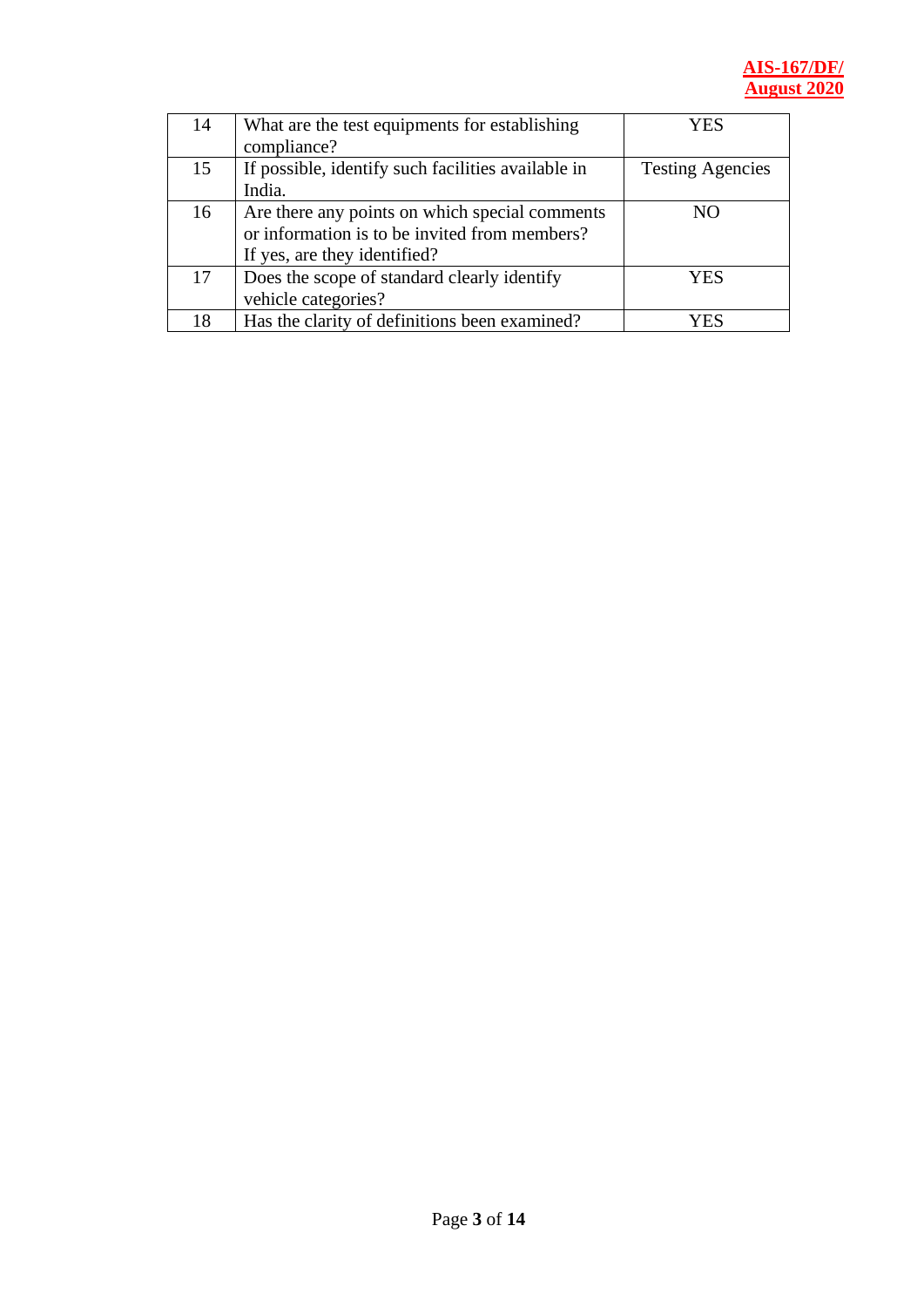#### **AIS-167/DF/ August 2020**

| 14 | What are the test equipments for establishing      | YES                     |
|----|----------------------------------------------------|-------------------------|
|    | compliance?                                        |                         |
| 15 | If possible, identify such facilities available in | <b>Testing Agencies</b> |
|    | India.                                             |                         |
| 16 | Are there any points on which special comments     | NO.                     |
|    | or information is to be invited from members?      |                         |
|    | If yes, are they identified?                       |                         |
| 17 | Does the scope of standard clearly identify        | YES                     |
|    | vehicle categories?                                |                         |
| 18 | Has the clarity of definitions been examined?      | $E_c$                   |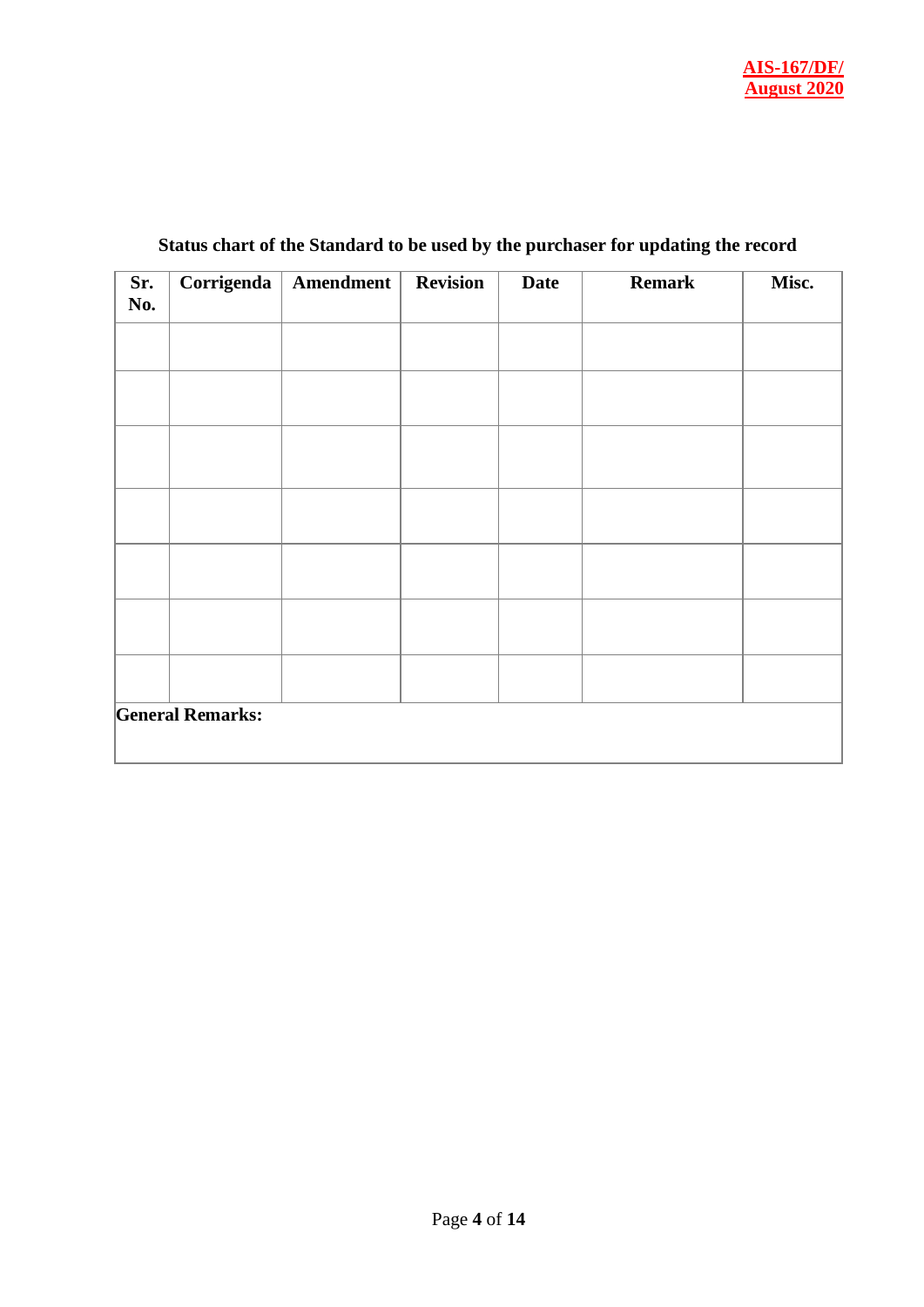| Sr.<br>No. | Corrigenda              | Amendment | <b>Revision</b> | <b>Date</b> | <b>Remark</b> | Misc. |
|------------|-------------------------|-----------|-----------------|-------------|---------------|-------|
|            |                         |           |                 |             |               |       |
|            |                         |           |                 |             |               |       |
|            |                         |           |                 |             |               |       |
|            |                         |           |                 |             |               |       |
|            |                         |           |                 |             |               |       |
|            |                         |           |                 |             |               |       |
|            |                         |           |                 |             |               |       |
|            | <b>General Remarks:</b> |           |                 |             |               |       |

### **Status chart of the Standard to be used by the purchaser for updating the record**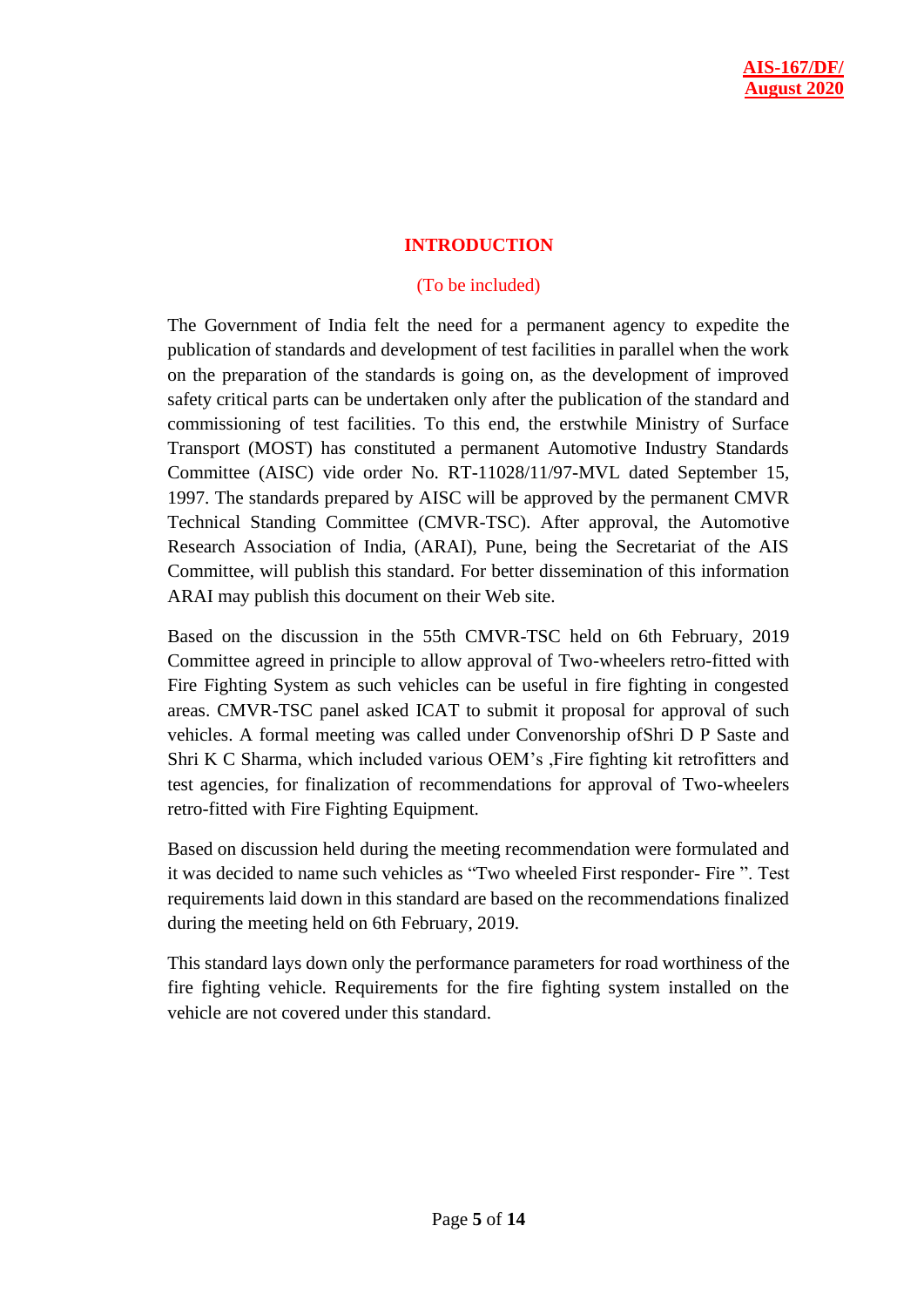#### **INTRODUCTION**

#### (To be included)

The Government of India felt the need for a permanent agency to expedite the publication of standards and development of test facilities in parallel when the work on the preparation of the standards is going on, as the development of improved safety critical parts can be undertaken only after the publication of the standard and commissioning of test facilities. To this end, the erstwhile Ministry of Surface Transport (MOST) has constituted a permanent Automotive Industry Standards Committee (AISC) vide order No. RT-11028/11/97-MVL dated September 15, 1997. The standards prepared by AISC will be approved by the permanent CMVR Technical Standing Committee (CMVR-TSC). After approval, the Automotive Research Association of India, (ARAI), Pune, being the Secretariat of the AIS Committee, will publish this standard. For better dissemination of this information ARAI may publish this document on their Web site.

Based on the discussion in the 55th CMVR-TSC held on 6th February, 2019 Committee agreed in principle to allow approval of Two-wheelers retro-fitted with Fire Fighting System as such vehicles can be useful in fire fighting in congested areas. CMVR-TSC panel asked ICAT to submit it proposal for approval of such vehicles. A formal meeting was called under Convenorship ofShri D P Saste and Shri K C Sharma, which included various OEM's ,Fire fighting kit retrofitters and test agencies, for finalization of recommendations for approval of Two-wheelers retro-fitted with Fire Fighting Equipment.

Based on discussion held during the meeting recommendation were formulated and it was decided to name such vehicles as "Two wheeled First responder- Fire ". Test requirements laid down in this standard are based on the recommendations finalized during the meeting held on 6th February, 2019.

This standard lays down only the performance parameters for road worthiness of the fire fighting vehicle. Requirements for the fire fighting system installed on the vehicle are not covered under this standard.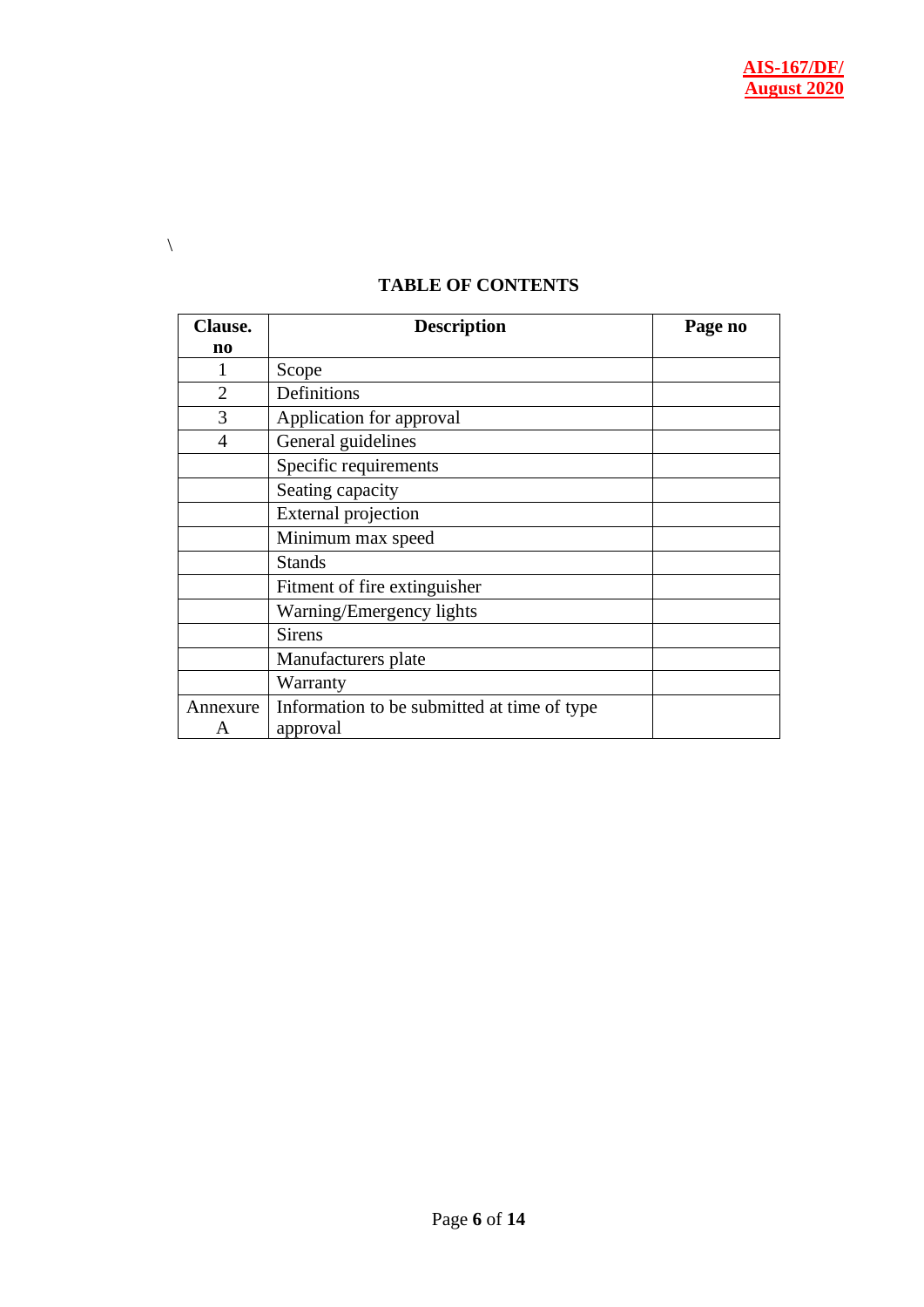| <b>TABLE OF CONTENTS</b> |  |
|--------------------------|--|
|                          |  |

 $\backslash$ 

| <b>Clause.</b> | <b>Description</b>                          | Page no |
|----------------|---------------------------------------------|---------|
| n0             |                                             |         |
|                | Scope                                       |         |
| $\overline{2}$ | Definitions                                 |         |
| 3              | Application for approval                    |         |
| $\overline{4}$ | General guidelines                          |         |
|                | Specific requirements                       |         |
|                | Seating capacity                            |         |
|                | <b>External projection</b>                  |         |
|                | Minimum max speed                           |         |
|                | <b>Stands</b>                               |         |
|                | Fitment of fire extinguisher                |         |
|                | Warning/Emergency lights                    |         |
|                | <b>Sirens</b>                               |         |
|                | Manufacturers plate                         |         |
|                | Warranty                                    |         |
| Annexure       | Information to be submitted at time of type |         |
| A              | approval                                    |         |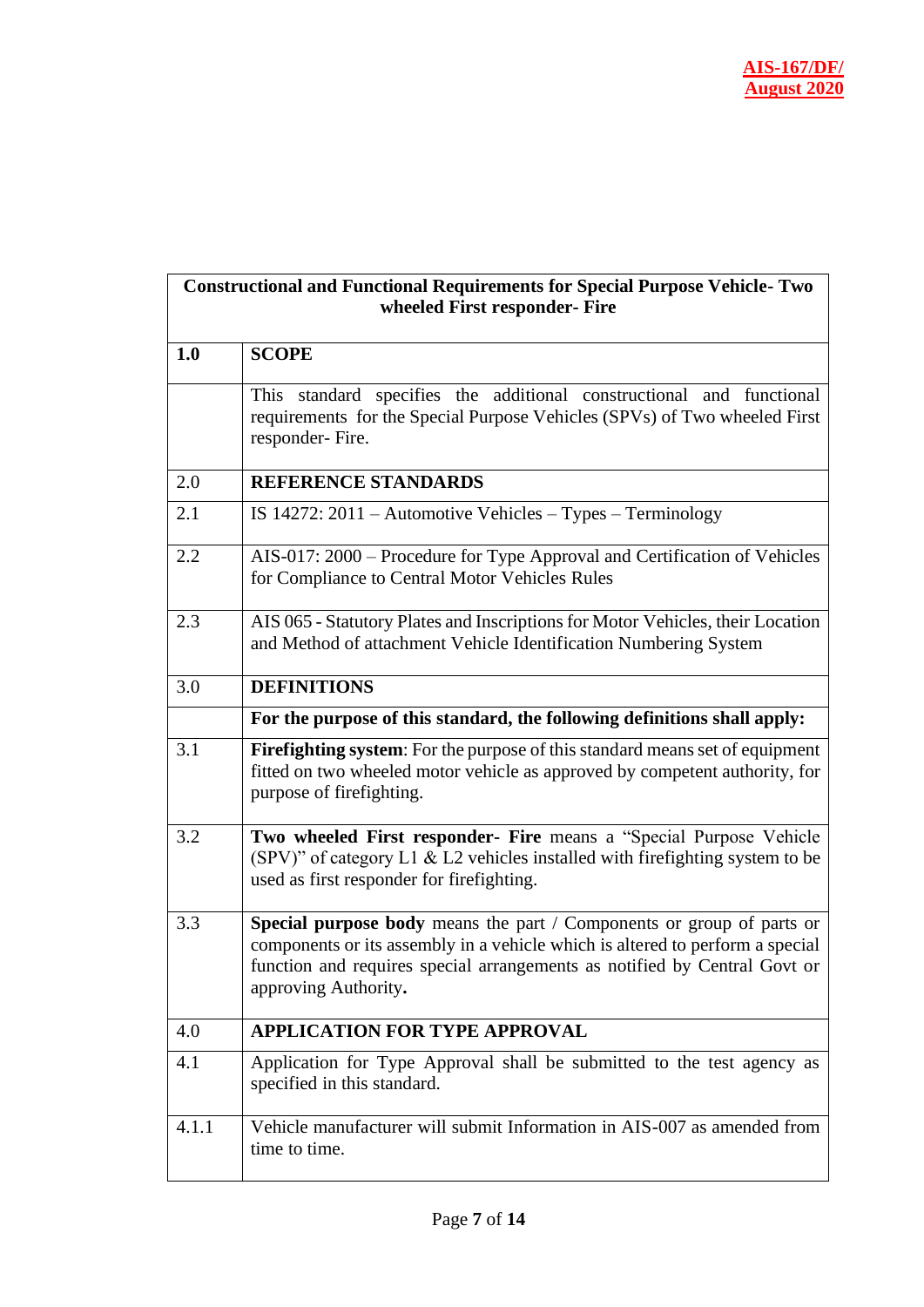| <b>Constructional and Functional Requirements for Special Purpose Vehicle-Two</b> |
|-----------------------------------------------------------------------------------|
| wheeled First responder- Fire                                                     |

| 1.0   | <b>SCOPE</b>                                                                                                                                                                                                                                                |  |
|-------|-------------------------------------------------------------------------------------------------------------------------------------------------------------------------------------------------------------------------------------------------------------|--|
|       | This standard specifies the additional constructional and functional<br>requirements for the Special Purpose Vehicles (SPVs) of Two wheeled First<br>responder-Fire.                                                                                        |  |
| 2.0   | <b>REFERENCE STANDARDS</b>                                                                                                                                                                                                                                  |  |
| 2.1   | IS $14272: 2011$ – Automotive Vehicles – Types – Terminology                                                                                                                                                                                                |  |
| 2.2   | AIS-017: 2000 – Procedure for Type Approval and Certification of Vehicles<br>for Compliance to Central Motor Vehicles Rules                                                                                                                                 |  |
| 2.3   | AIS 065 - Statutory Plates and Inscriptions for Motor Vehicles, their Location<br>and Method of attachment Vehicle Identification Numbering System                                                                                                          |  |
| 3.0   | <b>DEFINITIONS</b>                                                                                                                                                                                                                                          |  |
|       | For the purpose of this standard, the following definitions shall apply:                                                                                                                                                                                    |  |
| 3.1   | Firefighting system: For the purpose of this standard means set of equipment<br>fitted on two wheeled motor vehicle as approved by competent authority, for<br>purpose of firefighting.                                                                     |  |
| 3.2   | Two wheeled First responder- Fire means a "Special Purpose Vehicle<br>(SPV)" of category L1 & L2 vehicles installed with firefighting system to be<br>used as first responder for firefighting.                                                             |  |
| 3.3   | Special purpose body means the part / Components or group of parts or<br>components or its assembly in a vehicle which is altered to perform a special<br>function and requires special arrangements as notified by Central Govt or<br>approving Authority. |  |
| 4.0   | <b>APPLICATION FOR TYPE APPROVAL</b>                                                                                                                                                                                                                        |  |
| 4.1   | Application for Type Approval shall be submitted to the test agency as<br>specified in this standard.                                                                                                                                                       |  |
| 4.1.1 | Vehicle manufacturer will submit Information in AIS-007 as amended from<br>time to time.                                                                                                                                                                    |  |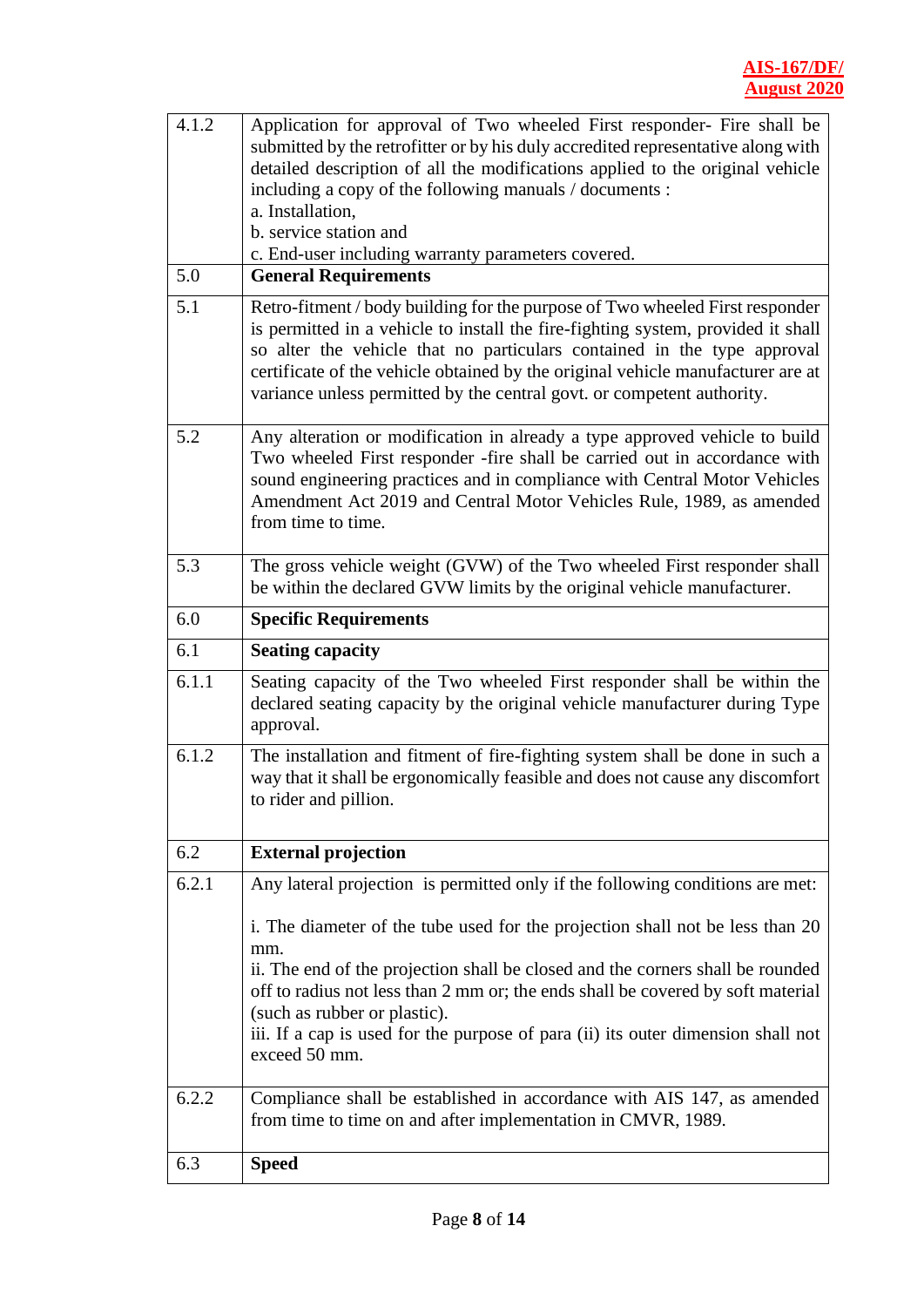| 4.1.2 | Application for approval of Two wheeled First responder- Fire shall be                                                                                                                                                                                                                                                             |  |
|-------|------------------------------------------------------------------------------------------------------------------------------------------------------------------------------------------------------------------------------------------------------------------------------------------------------------------------------------|--|
|       | submitted by the retrofitter or by his duly accredited representative along with                                                                                                                                                                                                                                                   |  |
|       | detailed description of all the modifications applied to the original vehicle                                                                                                                                                                                                                                                      |  |
|       | including a copy of the following manuals / documents :                                                                                                                                                                                                                                                                            |  |
|       | a. Installation,<br>b. service station and                                                                                                                                                                                                                                                                                         |  |
|       | c. End-user including warranty parameters covered.                                                                                                                                                                                                                                                                                 |  |
| 5.0   | <b>General Requirements</b>                                                                                                                                                                                                                                                                                                        |  |
| 5.1   | Retro-fitment / body building for the purpose of Two wheeled First responder                                                                                                                                                                                                                                                       |  |
|       | is permitted in a vehicle to install the fire-fighting system, provided it shall<br>so alter the vehicle that no particulars contained in the type approval<br>certificate of the vehicle obtained by the original vehicle manufacturer are at<br>variance unless permitted by the central govt. or competent authority.           |  |
| 5.2   | Any alteration or modification in already a type approved vehicle to build<br>Two wheeled First responder -fire shall be carried out in accordance with<br>sound engineering practices and in compliance with Central Motor Vehicles<br>Amendment Act 2019 and Central Motor Vehicles Rule, 1989, as amended<br>from time to time. |  |
| 5.3   | The gross vehicle weight (GVW) of the Two wheeled First responder shall<br>be within the declared GVW limits by the original vehicle manufacturer.                                                                                                                                                                                 |  |
| 6.0   | <b>Specific Requirements</b>                                                                                                                                                                                                                                                                                                       |  |
| 6.1   | <b>Seating capacity</b>                                                                                                                                                                                                                                                                                                            |  |
| 6.1.1 | Seating capacity of the Two wheeled First responder shall be within the                                                                                                                                                                                                                                                            |  |
|       | declared seating capacity by the original vehicle manufacturer during Type<br>approval.                                                                                                                                                                                                                                            |  |
| 6.1.2 | The installation and fitment of fire-fighting system shall be done in such a<br>way that it shall be ergonomically feasible and does not cause any discomfort<br>to rider and pillion.                                                                                                                                             |  |
| 6.2   | <b>External projection</b>                                                                                                                                                                                                                                                                                                         |  |
| 6.2.1 | Any lateral projection is permitted only if the following conditions are met:                                                                                                                                                                                                                                                      |  |
|       |                                                                                                                                                                                                                                                                                                                                    |  |
|       | i. The diameter of the tube used for the projection shall not be less than 20<br>mm.                                                                                                                                                                                                                                               |  |
|       | ii. The end of the projection shall be closed and the corners shall be rounded                                                                                                                                                                                                                                                     |  |
|       | off to radius not less than 2 mm or; the ends shall be covered by soft material                                                                                                                                                                                                                                                    |  |
|       | (such as rubber or plastic).<br>iii. If a cap is used for the purpose of para (ii) its outer dimension shall not<br>exceed 50 mm.                                                                                                                                                                                                  |  |
| 6.2.2 | Compliance shall be established in accordance with AIS 147, as amended<br>from time to time on and after implementation in CMVR, 1989.                                                                                                                                                                                             |  |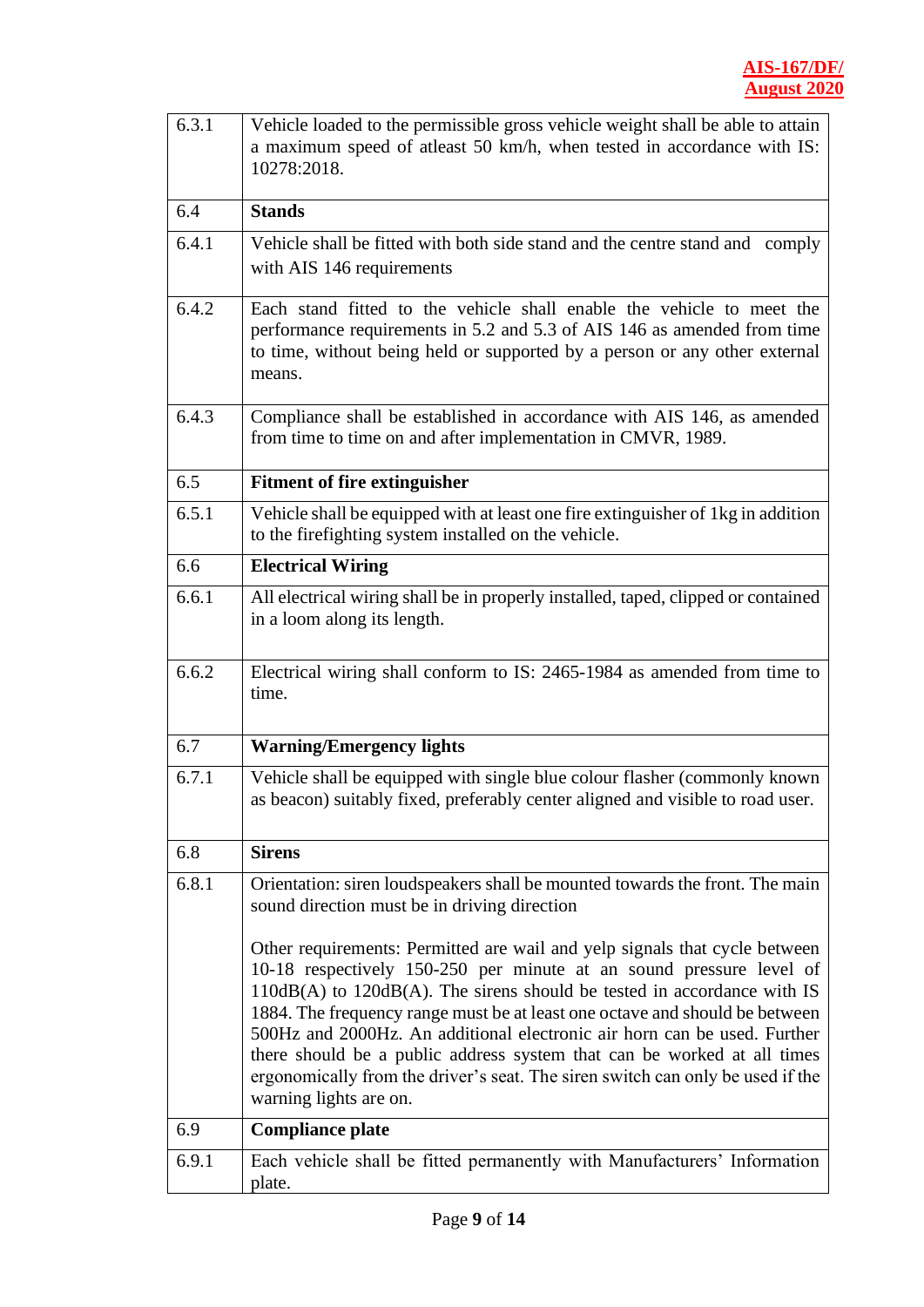| 6.3.1 | Vehicle loaded to the permissible gross vehicle weight shall be able to attain<br>a maximum speed of atleast 50 km/h, when tested in accordance with IS:                                                                                                                                                                                                                                                                                                                                                                                                                            |  |  |
|-------|-------------------------------------------------------------------------------------------------------------------------------------------------------------------------------------------------------------------------------------------------------------------------------------------------------------------------------------------------------------------------------------------------------------------------------------------------------------------------------------------------------------------------------------------------------------------------------------|--|--|
|       | 10278:2018.                                                                                                                                                                                                                                                                                                                                                                                                                                                                                                                                                                         |  |  |
| 6.4   | <b>Stands</b>                                                                                                                                                                                                                                                                                                                                                                                                                                                                                                                                                                       |  |  |
| 6.4.1 | Vehicle shall be fitted with both side stand and the centre stand and comply                                                                                                                                                                                                                                                                                                                                                                                                                                                                                                        |  |  |
|       | with AIS 146 requirements                                                                                                                                                                                                                                                                                                                                                                                                                                                                                                                                                           |  |  |
| 6.4.2 | Each stand fitted to the vehicle shall enable the vehicle to meet the<br>performance requirements in 5.2 and 5.3 of AIS 146 as amended from time<br>to time, without being held or supported by a person or any other external<br>means.                                                                                                                                                                                                                                                                                                                                            |  |  |
| 6.4.3 | Compliance shall be established in accordance with AIS 146, as amended<br>from time to time on and after implementation in CMVR, 1989.                                                                                                                                                                                                                                                                                                                                                                                                                                              |  |  |
| 6.5   | <b>Fitment of fire extinguisher</b>                                                                                                                                                                                                                                                                                                                                                                                                                                                                                                                                                 |  |  |
| 6.5.1 | Vehicle shall be equipped with at least one fire extinguisher of 1kg in addition<br>to the firefighting system installed on the vehicle.                                                                                                                                                                                                                                                                                                                                                                                                                                            |  |  |
| 6.6   | <b>Electrical Wiring</b>                                                                                                                                                                                                                                                                                                                                                                                                                                                                                                                                                            |  |  |
| 6.6.1 | All electrical wiring shall be in properly installed, taped, clipped or contained<br>in a loom along its length.                                                                                                                                                                                                                                                                                                                                                                                                                                                                    |  |  |
| 6.6.2 | Electrical wiring shall conform to IS: 2465-1984 as amended from time to<br>time.                                                                                                                                                                                                                                                                                                                                                                                                                                                                                                   |  |  |
| 6.7   | <b>Warning/Emergency lights</b>                                                                                                                                                                                                                                                                                                                                                                                                                                                                                                                                                     |  |  |
| 6.7.1 | Vehicle shall be equipped with single blue colour flasher (commonly known<br>as beacon) suitably fixed, preferably center aligned and visible to road user.                                                                                                                                                                                                                                                                                                                                                                                                                         |  |  |
| 6.8   | <b>Sirens</b>                                                                                                                                                                                                                                                                                                                                                                                                                                                                                                                                                                       |  |  |
| 6.8.1 | Orientation: siren loudspeakers shall be mounted towards the front. The main<br>sound direction must be in driving direction                                                                                                                                                                                                                                                                                                                                                                                                                                                        |  |  |
|       | Other requirements: Permitted are wail and yelp signals that cycle between<br>10-18 respectively 150-250 per minute at an sound pressure level of<br>$110dB(A)$ to $120dB(A)$ . The sirens should be tested in accordance with IS<br>1884. The frequency range must be at least one octave and should be between<br>500Hz and 2000Hz. An additional electronic air horn can be used. Further<br>there should be a public address system that can be worked at all times<br>ergonomically from the driver's seat. The siren switch can only be used if the<br>warning lights are on. |  |  |
| 6.9   | <b>Compliance plate</b>                                                                                                                                                                                                                                                                                                                                                                                                                                                                                                                                                             |  |  |
| 6.9.1 | Each vehicle shall be fitted permanently with Manufacturers' Information<br>plate.                                                                                                                                                                                                                                                                                                                                                                                                                                                                                                  |  |  |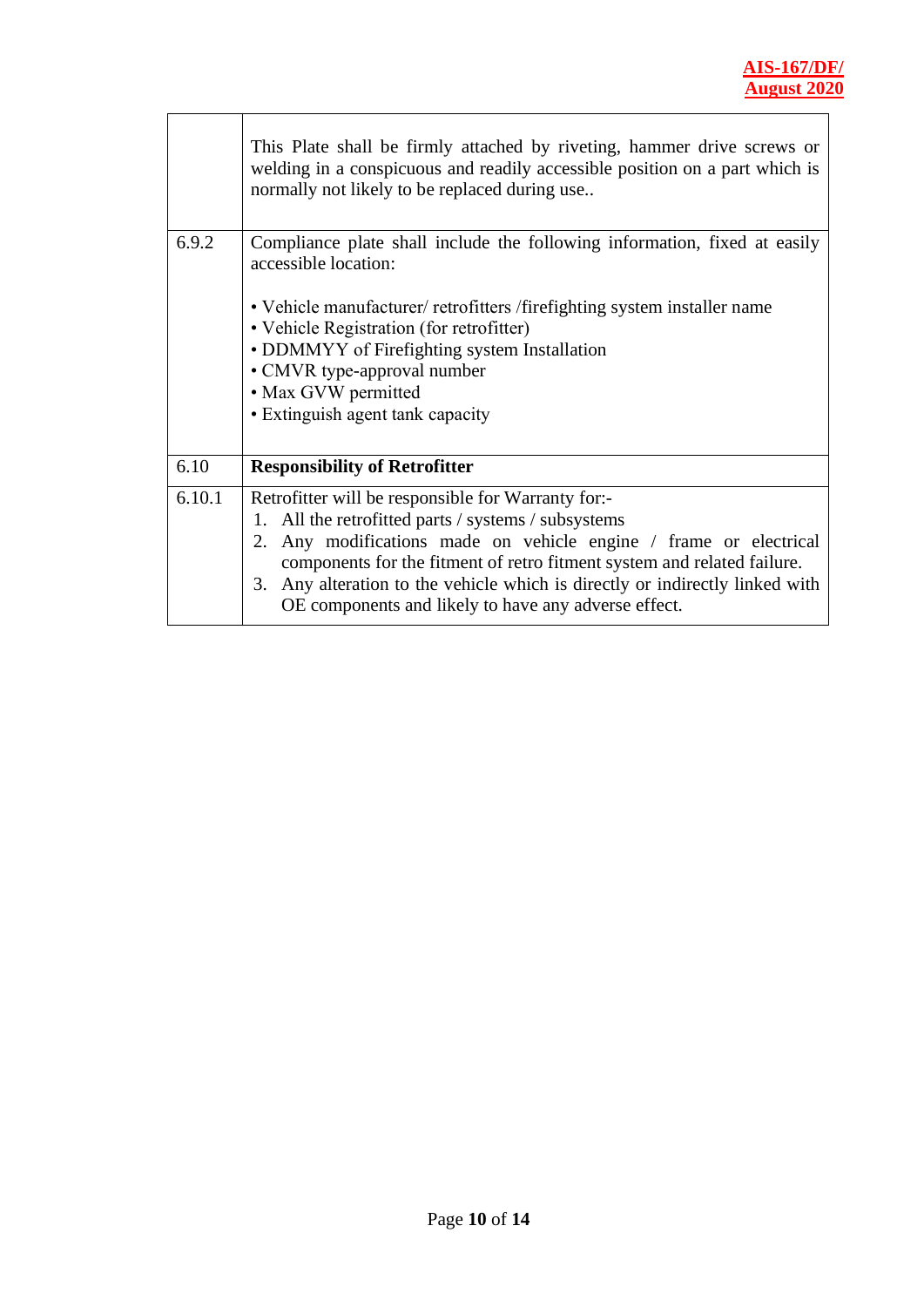$\overline{\phantom{a}}$ 

|        | This Plate shall be firmly attached by riveting, hammer drive screws or<br>welding in a conspicuous and readily accessible position on a part which is<br>normally not likely to be replaced during use                                                                                                                                                                                                          |
|--------|------------------------------------------------------------------------------------------------------------------------------------------------------------------------------------------------------------------------------------------------------------------------------------------------------------------------------------------------------------------------------------------------------------------|
| 6.9.2  | Compliance plate shall include the following information, fixed at easily<br>accessible location:<br>• Vehicle manufacturer/ retrofitters / firefighting system installer name<br>• Vehicle Registration (for retrofitter)<br>• DDMMYY of Firefighting system Installation<br>• CMVR type-approval number<br>• Max GVW permitted<br>• Extinguish agent tank capacity                                             |
| 6.10   | <b>Responsibility of Retrofitter</b>                                                                                                                                                                                                                                                                                                                                                                             |
| 6.10.1 | Retrofitter will be responsible for Warranty for:-<br>All the retrofitted parts / systems / subsystems<br>$1_{\cdot}$<br>Any modifications made on vehicle engine / frame or electrical<br>2.<br>components for the fitment of retro fitment system and related failure.<br>3. Any alteration to the vehicle which is directly or indirectly linked with<br>OE components and likely to have any adverse effect. |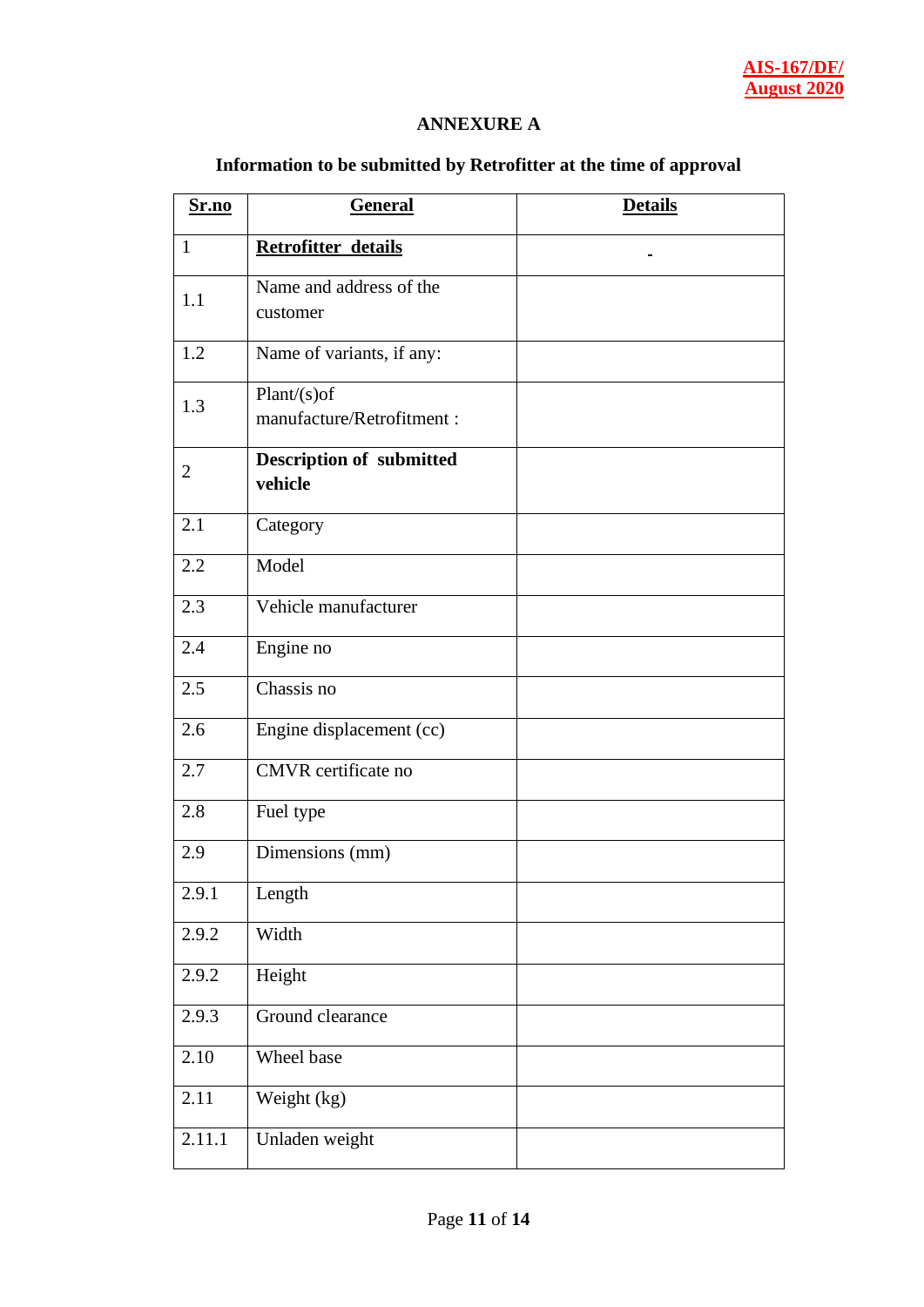#### **ANNEXURE A**

## **Information to be submitted by Retrofitter at the time of approval**

| Sr.no          | <b>General</b>                             | <b>Details</b> |
|----------------|--------------------------------------------|----------------|
| $\mathbf{1}$   | Retrofitter details                        |                |
| 1.1            | Name and address of the<br>customer        |                |
| 1.2            | Name of variants, if any:                  |                |
| 1.3            | $Plant(s)$ of<br>manufacture/Retrofitment: |                |
| $\overline{2}$ | <b>Description of submitted</b><br>vehicle |                |
| 2.1            | Category                                   |                |
| 2.2            | Model                                      |                |
| 2.3            | Vehicle manufacturer                       |                |
| 2.4            | Engine no                                  |                |
| 2.5            | Chassis no                                 |                |
| 2.6            | Engine displacement (cc)                   |                |
| 2.7            | CMVR certificate no                        |                |
| 2.8            | Fuel type                                  |                |
| 2.9            | Dimensions (mm)                            |                |
| 2.9.1          | Length                                     |                |
| 2.9.2          | Width                                      |                |
| 2.9.2          | Height                                     |                |
| 2.9.3          | Ground clearance                           |                |
| 2.10           | Wheel base                                 |                |
| 2.11           | Weight (kg)                                |                |
| 2.11.1         | Unladen weight                             |                |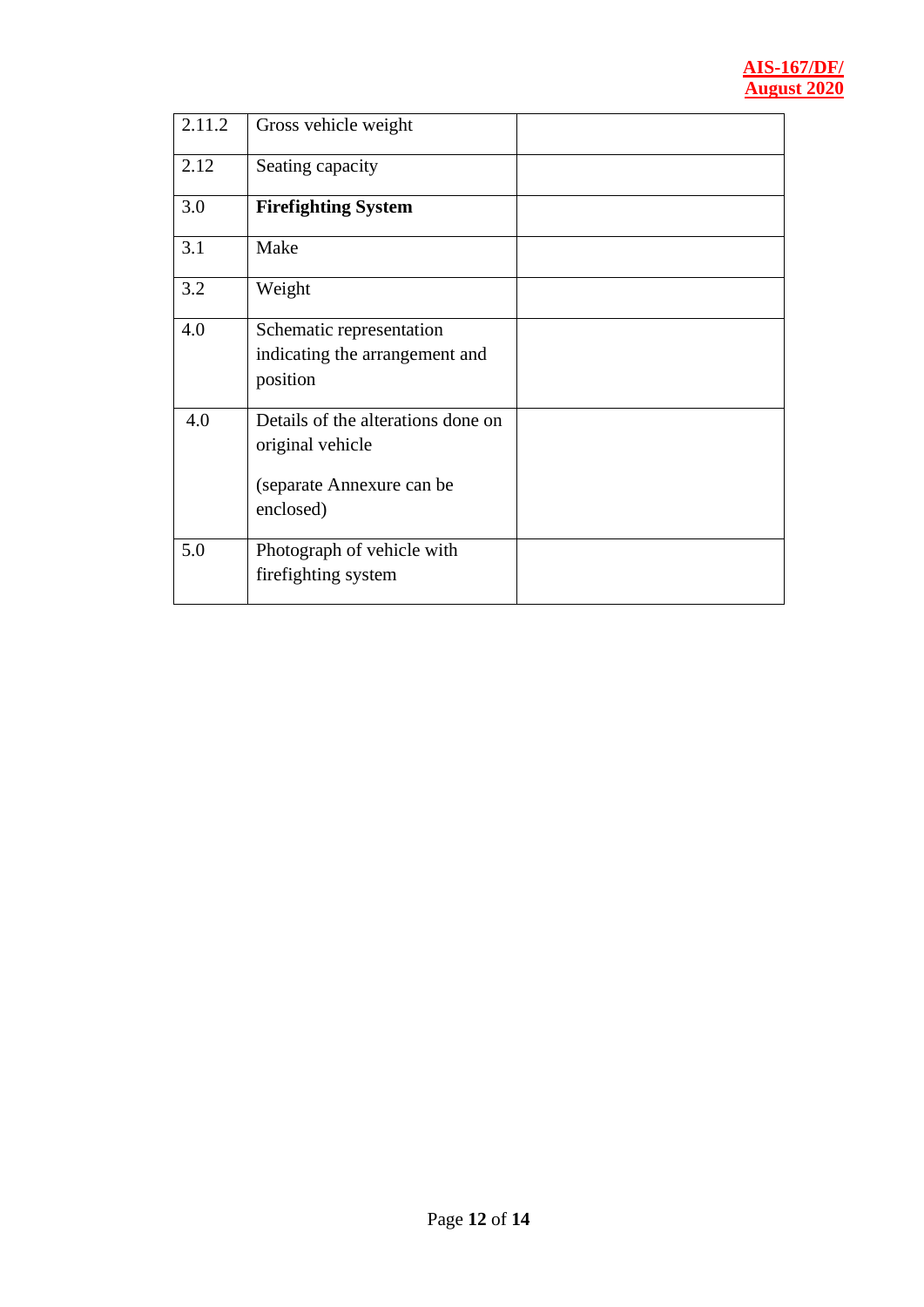| 2.11.2 | Gross vehicle weight                                                                             |  |
|--------|--------------------------------------------------------------------------------------------------|--|
| 2.12   | Seating capacity                                                                                 |  |
| 3.0    | <b>Firefighting System</b>                                                                       |  |
| 3.1    | Make                                                                                             |  |
| 3.2    | Weight                                                                                           |  |
| 4.0    | Schematic representation<br>indicating the arrangement and<br>position                           |  |
| 4.0    | Details of the alterations done on<br>original vehicle<br>(separate Annexure can be<br>enclosed) |  |
| 5.0    | Photograph of vehicle with<br>firefighting system                                                |  |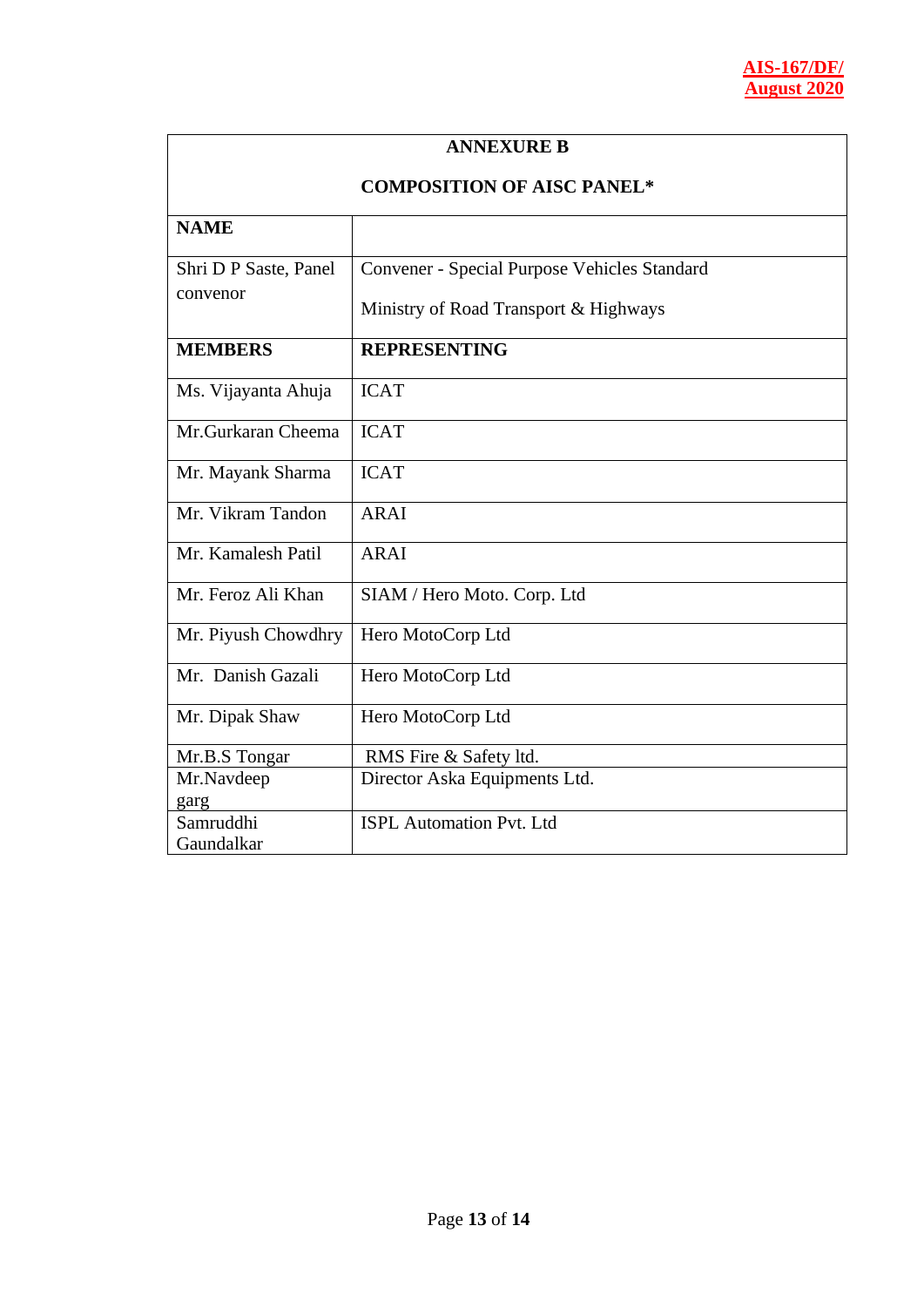| <b>ANNEXURE B</b>                 |                                              |  |
|-----------------------------------|----------------------------------------------|--|
| <b>COMPOSITION OF AISC PANEL*</b> |                                              |  |
| <b>NAME</b>                       |                                              |  |
| Shri D P Saste, Panel             | Convener - Special Purpose Vehicles Standard |  |
| convenor                          | Ministry of Road Transport & Highways        |  |
| <b>MEMBERS</b>                    | <b>REPRESENTING</b>                          |  |
| Ms. Vijayanta Ahuja               | <b>ICAT</b>                                  |  |
| Mr.Gurkaran Cheema                | <b>ICAT</b>                                  |  |
| Mr. Mayank Sharma                 | <b>ICAT</b>                                  |  |
| Mr. Vikram Tandon                 | <b>ARAI</b>                                  |  |
| Mr. Kamalesh Patil                | <b>ARAI</b>                                  |  |
| Mr. Feroz Ali Khan                | SIAM / Hero Moto. Corp. Ltd                  |  |
| Mr. Piyush Chowdhry               | Hero MotoCorp Ltd                            |  |
| Mr. Danish Gazali                 | Hero MotoCorp Ltd                            |  |
| Mr. Dipak Shaw                    | Hero MotoCorp Ltd                            |  |
| Mr.B.S Tongar                     | RMS Fire & Safety ltd.                       |  |
| Mr.Navdeep<br>garg                | Director Aska Equipments Ltd.                |  |
| Samruddhi<br>Gaundalkar           | <b>ISPL Automation Pvt. Ltd</b>              |  |